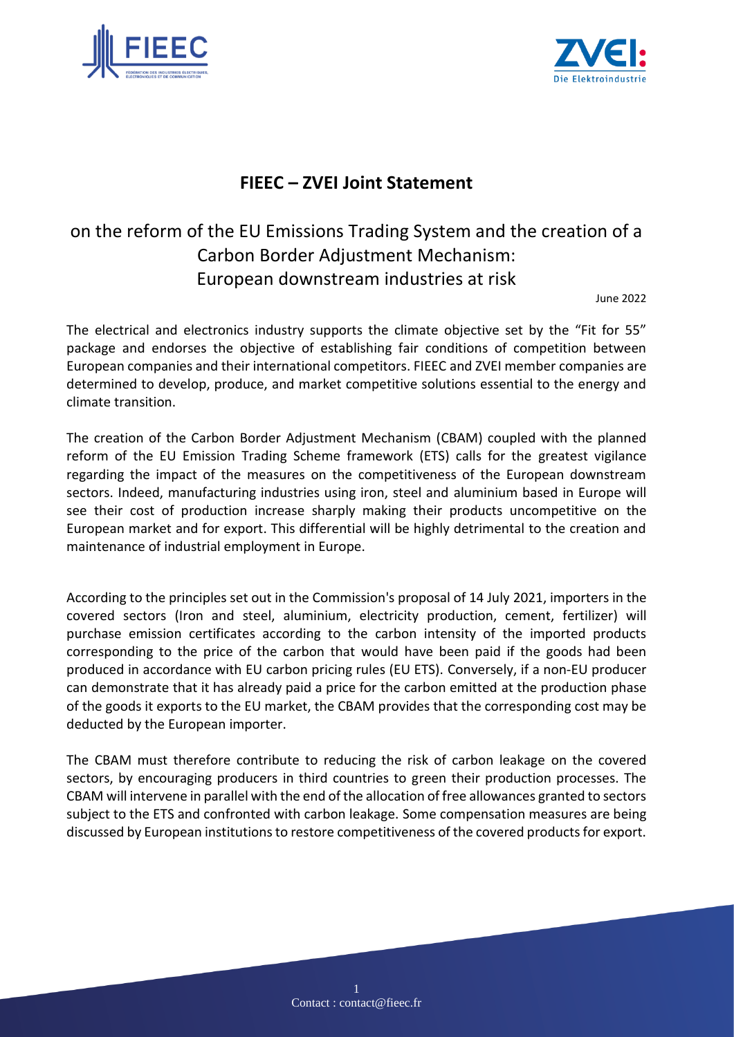



## **FIEEC – ZVEI Joint Statement**

## on the reform of the EU Emissions Trading System and the creation of a Carbon Border Adjustment Mechanism: European downstream industries at risk

June 2022

The electrical and electronics industry supports the climate objective set by the "Fit for 55" package and endorses the objective of establishing fair conditions of competition between European companies and their international competitors. FIEEC and ZVEI member companies are determined to develop, produce, and market competitive solutions essential to the energy and climate transition.

The creation of the Carbon Border Adjustment Mechanism (CBAM) coupled with the planned reform of the EU Emission Trading Scheme framework (ETS) calls for the greatest vigilance regarding the impact of the measures on the competitiveness of the European downstream sectors. Indeed, manufacturing industries using iron, steel and aluminium based in Europe will see their cost of production increase sharply making their products uncompetitive on the European market and for export. This differential will be highly detrimental to the creation and maintenance of industrial employment in Europe.

According to the principles set out in the Commission's proposal of 14 July 2021, importers in the covered sectors (Iron and steel, aluminium, electricity production, cement, fertilizer) will purchase emission certificates according to the carbon intensity of the imported products corresponding to the price of the carbon that would have been paid if the goods had been produced in accordance with EU carbon pricing rules (EU ETS). Conversely, if a non-EU producer can demonstrate that it has already paid a price for the carbon emitted at the production phase of the goods it exports to the EU market, the CBAM provides that the corresponding cost may be deducted by the European importer.

The CBAM must therefore contribute to reducing the risk of carbon leakage on the covered sectors, by encouraging producers in third countries to green their production processes. The CBAM will intervene in parallel with the end of the allocation of free allowances granted to sectors subject to the ETS and confronted with carbon leakage. Some compensation measures are being discussed by European institutions to restore competitiveness of the covered products for export.